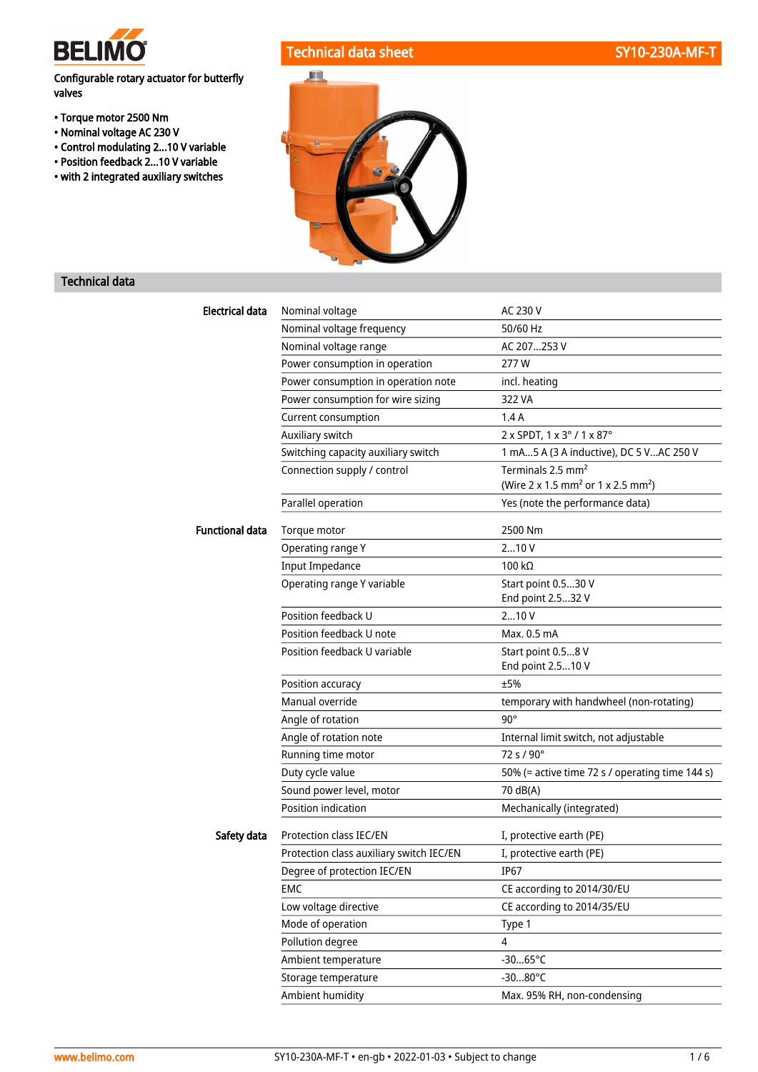

# Configurable rotary actuator for butterfly valves

- Torque motor 2500 Nm
- Nominal voltage AC 230 V
- Control modulating 2...10 V variable
- Position feedback 2...10 V variable
- with 2 integrated auxiliary switches





# Technical data

| <b>Electrical data</b> | Nominal voltage                          | AC 230 V                                                   |  |
|------------------------|------------------------------------------|------------------------------------------------------------|--|
|                        | Nominal voltage frequency                | 50/60 Hz                                                   |  |
|                        | Nominal voltage range                    | AC 207253 V                                                |  |
|                        | Power consumption in operation           | 277W                                                       |  |
|                        | Power consumption in operation note      | incl. heating                                              |  |
|                        | Power consumption for wire sizing        | 322 VA                                                     |  |
|                        | Current consumption                      | 1.4A                                                       |  |
|                        | Auxiliary switch                         | 2 x SPDT, 1 x 3° / 1 x 87°                                 |  |
|                        | Switching capacity auxiliary switch      | 1 mA5 A (3 A inductive), DC 5 VAC 250 V                    |  |
|                        | Connection supply / control              | Terminals 2.5 mm <sup>2</sup>                              |  |
|                        |                                          | (Wire 2 x 1.5 mm <sup>2</sup> or 1 x 2.5 mm <sup>2</sup> ) |  |
|                        | Parallel operation                       | Yes (note the performance data)                            |  |
| <b>Functional data</b> | Torque motor                             | 2500 Nm                                                    |  |
|                        | Operating range Y                        | 210V                                                       |  |
|                        | <b>Input Impedance</b>                   | 100 kΩ                                                     |  |
|                        | Operating range Y variable               | Start point 0.530 V                                        |  |
|                        |                                          | End point 2.532 V                                          |  |
|                        | Position feedback U                      | 210V                                                       |  |
|                        | Position feedback U note                 | Max. 0.5 mA                                                |  |
|                        | Position feedback U variable             | Start point 0.58 V                                         |  |
|                        |                                          | End point 2.510 V                                          |  |
|                        | Position accuracy                        | ±5%                                                        |  |
|                        | Manual override                          | temporary with handwheel (non-rotating)                    |  |
|                        | Angle of rotation                        | $90^\circ$                                                 |  |
|                        | Angle of rotation note                   | Internal limit switch, not adjustable                      |  |
|                        | Running time motor                       | $72 s / 90^{\circ}$                                        |  |
|                        | Duty cycle value                         | 50% (= active time 72 s / operating time 144 s)            |  |
|                        | Sound power level, motor                 | 70 dB(A)                                                   |  |
|                        | Position indication                      | Mechanically (integrated)                                  |  |
| Safety data            | <b>Protection class IEC/EN</b>           | I, protective earth (PE)                                   |  |
|                        | Protection class auxiliary switch IEC/EN | I, protective earth (PE)                                   |  |
|                        | Degree of protection IEC/EN              | <b>IP67</b>                                                |  |
|                        | <b>EMC</b>                               | CE according to 2014/30/EU                                 |  |
|                        | Low voltage directive                    | CE according to 2014/35/EU                                 |  |
|                        | Mode of operation                        | Type 1                                                     |  |
|                        | Pollution degree                         | $\overline{4}$                                             |  |
|                        | Ambient temperature                      | $-3065^{\circ}C$                                           |  |
|                        | Storage temperature                      | $-3080^{\circ}C$                                           |  |
|                        | Ambient humidity                         | Max. 95% RH, non-condensing                                |  |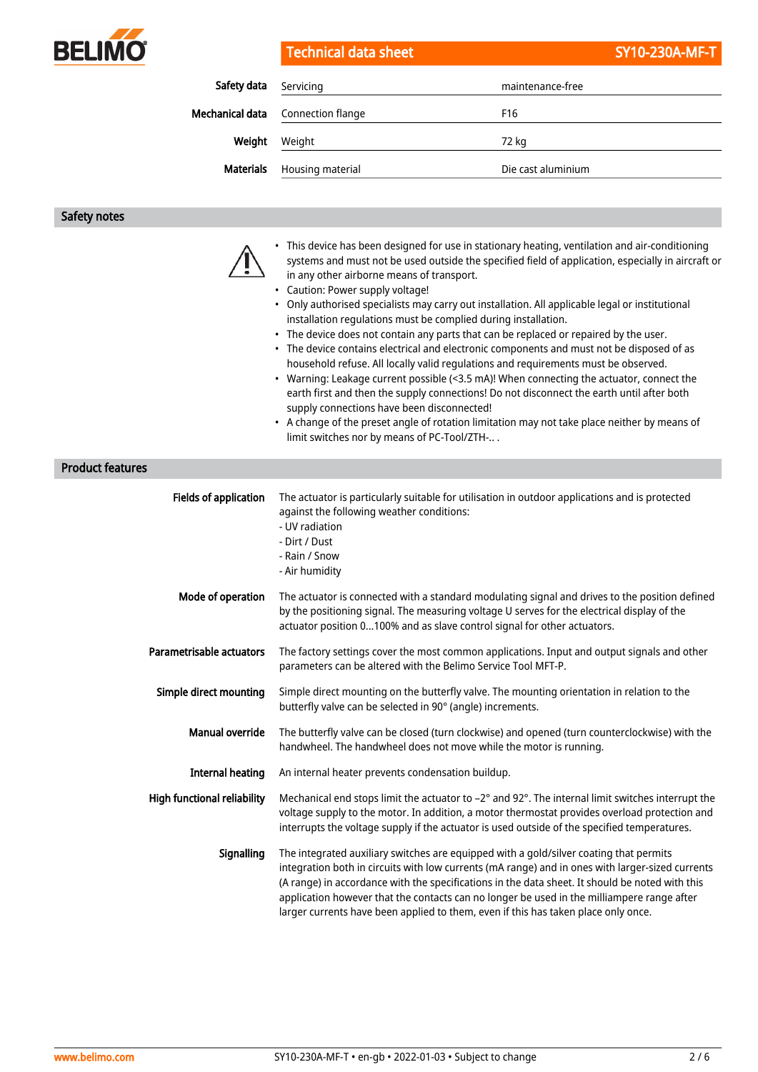

Technical data sheet SY10-230A-MF-T

| Safety data     | Servicing         | maintenance-free   |  |
|-----------------|-------------------|--------------------|--|
| Mechanical data | Connection flange | F <sub>16</sub>    |  |
| Weight          | Weight            | 72 kg              |  |
| Materials       | Housing material  | Die cast aluminium |  |

# Safety notes

|                              | • This device has been designed for use in stationary heating, ventilation and air-conditioning<br>systems and must not be used outside the specified field of application, especially in aircraft or<br>in any other airborne means of transport.<br>• Caution: Power supply voltage!<br>• Only authorised specialists may carry out installation. All applicable legal or institutional<br>installation regulations must be complied during installation.<br>• The device does not contain any parts that can be replaced or repaired by the user.<br>• The device contains electrical and electronic components and must not be disposed of as<br>household refuse. All locally valid regulations and requirements must be observed.<br>• Warning: Leakage current possible (<3.5 mA)! When connecting the actuator, connect the<br>earth first and then the supply connections! Do not disconnect the earth until after both<br>supply connections have been disconnected!<br>• A change of the preset angle of rotation limitation may not take place neither by means of<br>limit switches nor by means of PC-Tool/ZTH- |
|------------------------------|-------------------------------------------------------------------------------------------------------------------------------------------------------------------------------------------------------------------------------------------------------------------------------------------------------------------------------------------------------------------------------------------------------------------------------------------------------------------------------------------------------------------------------------------------------------------------------------------------------------------------------------------------------------------------------------------------------------------------------------------------------------------------------------------------------------------------------------------------------------------------------------------------------------------------------------------------------------------------------------------------------------------------------------------------------------------------------------------------------------------------------|
| <b>Product features</b>      |                                                                                                                                                                                                                                                                                                                                                                                                                                                                                                                                                                                                                                                                                                                                                                                                                                                                                                                                                                                                                                                                                                                               |
| <b>Fields of application</b> | The actuator is particularly suitable for utilisation in outdoor applications and is protected<br>against the following weather conditions:<br>- UV radiation<br>- Dirt / Dust<br>- Rain / Snow<br>- Air humidity                                                                                                                                                                                                                                                                                                                                                                                                                                                                                                                                                                                                                                                                                                                                                                                                                                                                                                             |
| Mode of operation            | The actuator is connected with a standard modulating signal and drives to the position defined<br>by the positioning signal. The measuring voltage U serves for the electrical display of the<br>actuator position 0100% and as slave control signal for other actuators.                                                                                                                                                                                                                                                                                                                                                                                                                                                                                                                                                                                                                                                                                                                                                                                                                                                     |
| Parametrisable actuators     | The factory settings cover the most common applications. Input and output signals and other<br>parameters can be altered with the Belimo Service Tool MFT-P.                                                                                                                                                                                                                                                                                                                                                                                                                                                                                                                                                                                                                                                                                                                                                                                                                                                                                                                                                                  |
| Simple direct mounting       | Simple direct mounting on the butterfly valve. The mounting orientation in relation to the<br>butterfly valve can be selected in 90° (angle) increments.                                                                                                                                                                                                                                                                                                                                                                                                                                                                                                                                                                                                                                                                                                                                                                                                                                                                                                                                                                      |
| <b>Manual override</b>       | The butterfly valve can be closed (turn clockwise) and opened (turn counterclockwise) with the<br>handwheel. The handwheel does not move while the motor is running.                                                                                                                                                                                                                                                                                                                                                                                                                                                                                                                                                                                                                                                                                                                                                                                                                                                                                                                                                          |
| <b>Internal heating</b>      | An internal heater prevents condensation buildup.                                                                                                                                                                                                                                                                                                                                                                                                                                                                                                                                                                                                                                                                                                                                                                                                                                                                                                                                                                                                                                                                             |
|                              | High functional reliability Mechanical end stops limit the actuator to -2° and 92°. The internal limit switches interrupt the<br>voltage supply to the motor. In addition, a motor thermostat provides overload protection and<br>interrupts the voltage supply if the actuator is used outside of the specified temperatures.                                                                                                                                                                                                                                                                                                                                                                                                                                                                                                                                                                                                                                                                                                                                                                                                |
| Signalling                   | The integrated auxiliary switches are equipped with a gold/silver coating that permits<br>integration both in circuits with low currents (mA range) and in ones with larger-sized currents<br>(A range) in accordance with the specifications in the data sheet. It should be noted with this<br>application however that the contacts can no longer be used in the milliampere range after<br>larger currents have been applied to them, even if this has taken place only once.                                                                                                                                                                                                                                                                                                                                                                                                                                                                                                                                                                                                                                             |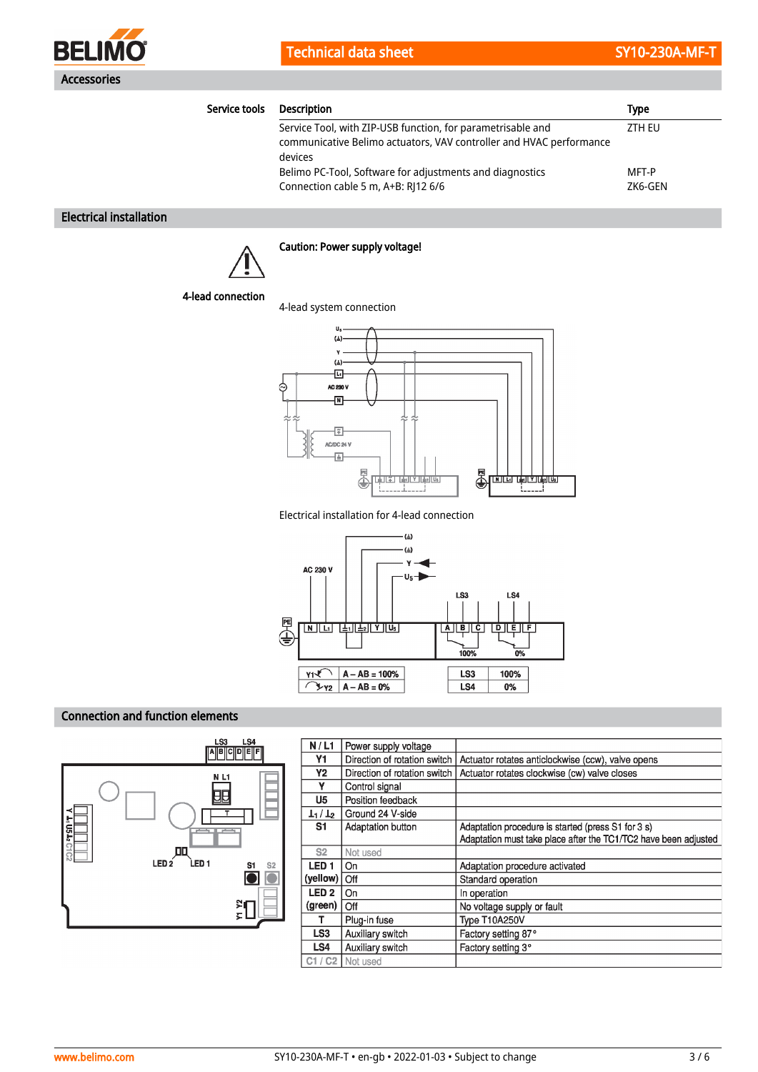

| Service tools                                            | <b>Description</b>                                                             | <b>Type</b> |  |
|----------------------------------------------------------|--------------------------------------------------------------------------------|-------------|--|
|                                                          | Service Tool, with ZIP-USB function, for parametrisable and                    | ZTH EU      |  |
|                                                          | communicative Belimo actuators, VAV controller and HVAC performance<br>devices |             |  |
| Belimo PC-Tool, Software for adjustments and diagnostics |                                                                                | MFT-P       |  |
|                                                          | Connection cable 5 m, A+B: RJ12 6/6                                            | ZK6-GEN     |  |

# Electrical installation



# Caution: Power supply voltage!

### 4-lead connection

4-lead system connection



Electrical installation for 4-lead connection



# Connection and function elements



| N/L1             | Power supply voltage         |                                                                 |
|------------------|------------------------------|-----------------------------------------------------------------|
| Y1               | Direction of rotation switch | Actuator rotates anticlockwise (ccw), valve opens               |
| Υ2               | Direction of rotation switch | Actuator rotates clockwise (cw) valve closes                    |
| ۷                | Control signal               |                                                                 |
| U <sub>5</sub>   | Position feedback            |                                                                 |
| $L_1/L_2$        | Ground 24 V-side             |                                                                 |
| S1               | Adaptation button            | Adaptation procedure is started (press S1 for 3 s)              |
|                  |                              | Adaptation must take place after the TC1/TC2 have been adjusted |
| S <sub>2</sub>   | Not used                     |                                                                 |
| LED <sub>1</sub> | On                           | Adaptation procedure activated                                  |
|                  | Off                          | Standard operation                                              |
| LED <sub>2</sub> | On                           | In operation                                                    |
| (green)          | Off                          | No voltage supply or fault                                      |
| т                | Plug-in fuse                 | Type T10A250V                                                   |
| LS <sub>3</sub>  | Auxiliary switch             | Factory setting 87°                                             |
| LS <sub>4</sub>  | Auxiliary switch             | Factory setting 3°                                              |
|                  |                              |                                                                 |
|                  |                              | (yellow)<br>C1 / C2   Not used                                  |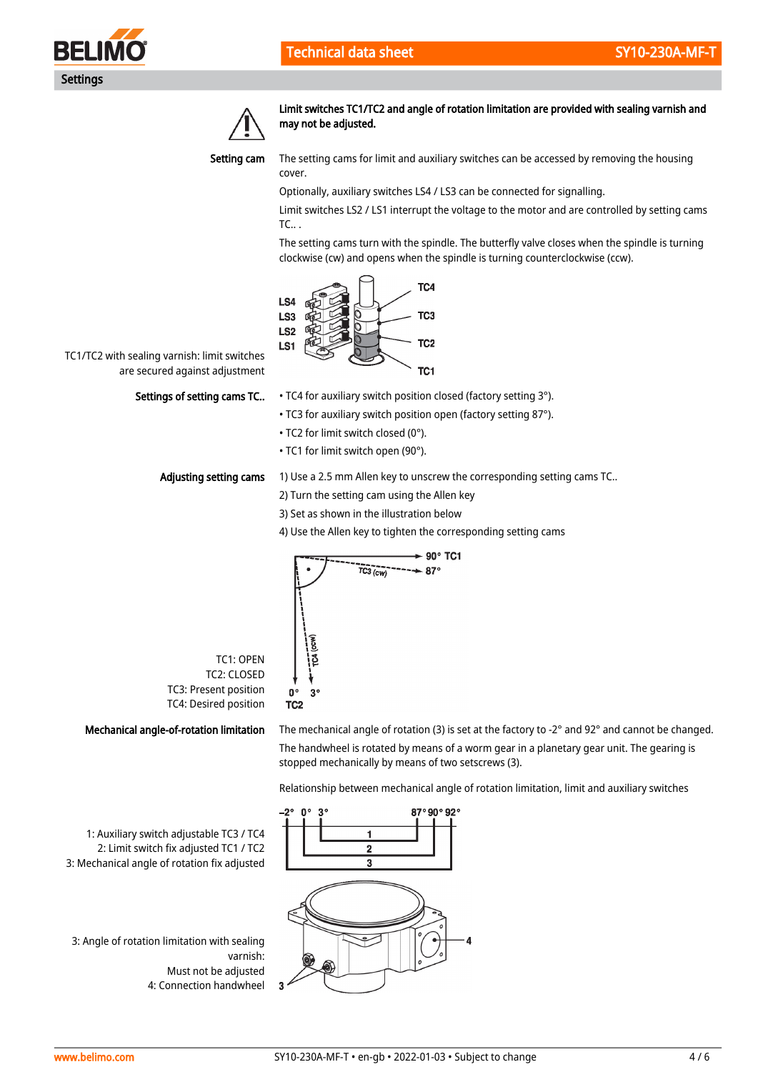



Limit switches TC1/TC2 and angle of rotation limitation are provided with sealing varnish and may not be adjusted.



The setting cams for limit and auxiliary switches can be accessed by removing the housing cover.

Optionally, auxiliary switches LS4 / LS3 can be connected for signalling.

Limit switches LS2 / LS1 interrupt the voltage to the motor and are controlled by setting cams TC.. .

The setting cams turn with the spindle. The butterfly valve closes when the spindle is turning clockwise (cw) and opens when the spindle is turning counterclockwise (ccw).



TC1/TC2 with sealing varnish: limit switches are secured against adjustment

# Settings of setting cams TC..

- TC4 for auxiliary switch position closed (factory setting 3°).
- TC3 for auxiliary switch position open (factory setting 87°).
- TC2 for limit switch closed (0°).
- TC1 for limit switch open (90°).

#### Adjusting setting cams

1) Use a 2.5 mm Allen key to unscrew the corresponding setting cams TC..

- 2) Turn the setting cam using the Allen key
- 3) Set as shown in the illustration below
- 4) Use the Allen key to tighten the corresponding setting cams



TC1: OPEN TC2: CLOSED TC3: Present position TC4: Desired position

### Mechanical angle-of-rotation limitation

The mechanical angle of rotation (3) is set at the factory to -2° and 92° and cannot be changed. The handwheel is rotated by means of a worm gear in a planetary gear unit. The gearing is stopped mechanically by means of two setscrews (3).

Relationship between mechanical angle of rotation limitation, limit and auxiliary switches

1: Auxiliary switch adjustable TC3 / TC4 2: Limit switch fix adjusted TC1 / TC2 3: Mechanical angle of rotation fix adjusted

3: Angle of rotation limitation with sealing varnish: Must not be adjusted 4: Connection handwheel

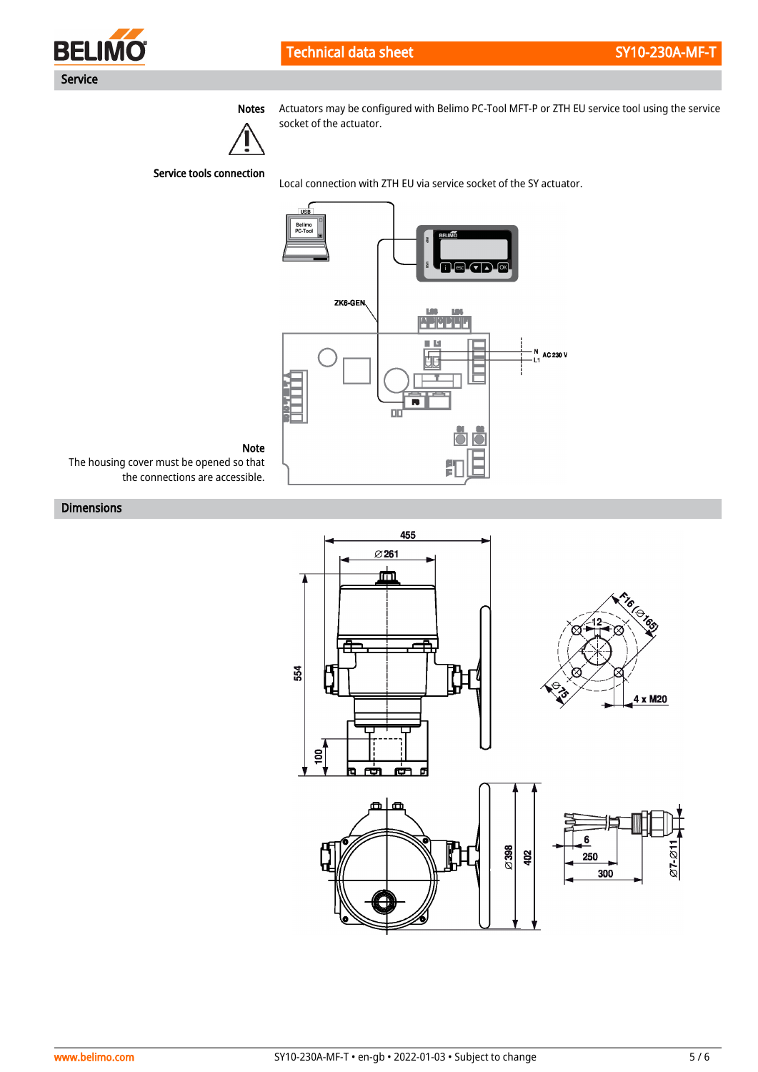

Technical data sheet SY10-230A-MF-T



Notes Actuators may be configured with Belimo PC-Tool MFT-P or ZTH EU service tool using the service socket of the actuator.

Service tools connection

Local connection with ZTH EU via service socket of the SY actuator.



Note

The housing cover must be opened so that the connections are accessible.

# Dimensions